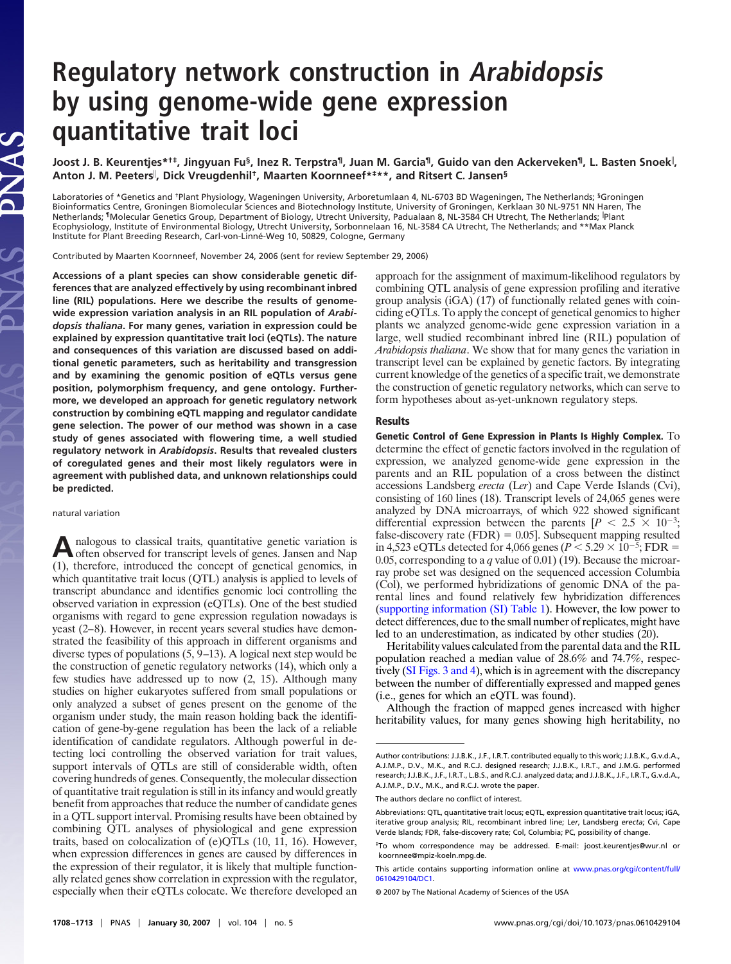## **Regulatory network construction in Arabidopsis by using genome-wide gene expression quantitative trait loci**

**Joost J. B. Keurentjes\*†‡, Jingyuan Fu§, Inez R. Terpstra¶, Juan M. Garcia¶, Guido van den Ackerveken¶, L. Basten Snoek , Anton J. M. Peeters , Dick Vreugdenhil†, Maarten Koornneef\*‡\*\*, and Ritsert C. Jansen§**

Laboratories of \*Genetics and †Plant Physiology, Wageningen University, Arboretumlaan 4, NL-6703 BD Wageningen, The Netherlands; <sup>§</sup>Groningen Bioinformatics Centre, Groningen Biomolecular Sciences and Biotechnology Institute, University of Groningen, Kerklaan 30 NL-9751 NN Haren, The Netherlands; ¶Molecular Genetics Group, Department of Biology, Utrecht University, Padualaan 8, NL-3584 CH Utrecht, The Netherlands; Plant Ecophysiology, Institute of Environmental Biology, Utrecht University, Sorbonnelaan 16, NL-3584 CA Utrecht, The Netherlands; and \*\*Max Planck Institute for Plant Breeding Research, Carl-von-Linné-Weg 10, 50829, Cologne, Germany

Contributed by Maarten Koornneef, November 24, 2006 (sent for review September 29, 2006)

**Accessions of a plant species can show considerable genetic differences that are analyzed effectively by using recombinant inbred line (RIL) populations. Here we describe the results of genomewide expression variation analysis in an RIL population of** *Arabidopsis thaliana***. For many genes, variation in expression could be explained by expression quantitative trait loci (eQTLs). The nature and consequences of this variation are discussed based on additional genetic parameters, such as heritability and transgression and by examining the genomic position of eQTLs versus gene position, polymorphism frequency, and gene ontology. Furthermore, we developed an approach for genetic regulatory network construction by combining eQTL mapping and regulator candidate gene selection. The power of our method was shown in a case study of genes associated with flowering time, a well studied regulatory network in** *Arabidopsis***. Results that revealed clusters of coregulated genes and their most likely regulators were in agreement with published data, and unknown relationships could be predicted.**

natural variation

PNAS

A nalogous to classical traits, quantitative genetic variation is<br>
often observed for transcript levels of genes. Jansen and Nap (1), therefore, introduced the concept of genetical genomics, in which quantitative trait locus (QTL) analysis is applied to levels of transcript abundance and identifies genomic loci controlling the observed variation in expression (eQTLs). One of the best studied organisms with regard to gene expression regulation nowadays is yeast (2–8). However, in recent years several studies have demonstrated the feasibility of this approach in different organisms and diverse types of populations  $(5, 9-13)$ . A logical next step would be the construction of genetic regulatory networks (14), which only a few studies have addressed up to now (2, 15). Although many studies on higher eukaryotes suffered from small populations or only analyzed a subset of genes present on the genome of the organism under study, the main reason holding back the identification of gene-by-gene regulation has been the lack of a reliable identification of candidate regulators. Although powerful in detecting loci controlling the observed variation for trait values, support intervals of QTLs are still of considerable width, often covering hundreds of genes. Consequently, the molecular dissection of quantitative trait regulation is still in its infancy and would greatly benefit from approaches that reduce the number of candidate genes in a QTL support interval. Promising results have been obtained by combining QTL analyses of physiological and gene expression traits, based on colocalization of (e)QTLs (10, 11, 16). However, when expression differences in genes are caused by differences in the expression of their regulator, it is likely that multiple functionally related genes show correlation in expression with the regulator, especially when their eQTLs colocate. We therefore developed an

approach for the assignment of maximum-likelihood regulators by combining QTL analysis of gene expression profiling and iterative group analysis (iGA) (17) of functionally related genes with coinciding eQTLs. To apply the concept of genetical genomics to higher plants we analyzed genome-wide gene expression variation in a large, well studied recombinant inbred line (RIL) population of *Arabidopsis thaliana*. We show that for many genes the variation in transcript level can be explained by genetic factors. By integrating current knowledge of the genetics of a specific trait, we demonstrate the construction of genetic regulatory networks, which can serve to form hypotheses about as-yet-unknown regulatory steps.

## **Results**

**Genetic Control of Gene Expression in Plants Is Highly Complex.** To determine the effect of genetic factors involved in the regulation of expression, we analyzed genome-wide gene expression in the parents and an RIL population of a cross between the distinct accessions Landsberg *erecta* (L*er*) and Cape Verde Islands (Cvi), consisting of 160 lines (18). Transcript levels of 24,065 genes were analyzed by DNA microarrays, of which 922 showed significant differential expression between the parents  $[P \leq 2.5 \times 10^{-3};$ false-discovery rate  $(FDR) = 0.05$ . Subsequent mapping resulted in 4,523 eQTLs detected for 4,066 genes ( $P < 5.29 \times 10^{-5}$ ; FDR = 0.05, corresponding to a *q* value of 0.01) (19). Because the microarray probe set was designed on the sequenced accession Columbia (Col), we performed hybridizations of genomic DNA of the parental lines and found relatively few hybridization differences [\(supporting information \(SI\) Table 1\)](http://www.pnas.org/cgi/content/full/0610429104/DC1). However, the low power to detect differences, due to the small number of replicates, might have led to an underestimation, as indicated by other studies (20).

Heritability values calculated from the parental data and the RIL population reached a median value of 28.6% and 74.7%, respectively [\(SI Figs. 3 and 4\)](http://www.pnas.org/cgi/content/full/0610429104/DC1), which is in agreement with the discrepancy between the number of differentially expressed and mapped genes (i.e., genes for which an eQTL was found).

Although the fraction of mapped genes increased with higher heritability values, for many genes showing high heritability, no

Author contributions: J.J.B.K., J.F., I.R.T. contributed equally to this work; J.J.B.K., G.v.d.A., A.J.M.P., D.V., M.K., and R.C.J. designed research; J.J.B.K., I.R.T., and J.M.G. performed research; J.J.B.K., J.F., I.R.T., L.B.S., and R.C.J. analyzed data; and J.J.B.K., J.F., I.R.T., G.v.d.A., A.J.M.P., D.V., M.K., and R.C.J. wrote the paper.

The authors declare no conflict of interest.

Abbreviations: QTL, quantitative trait locus; eQTL, expression quantitative trait locus; iGA, iterative group analysis; RIL, recombinant inbred line; L*er*, Landsberg *erecta*; Cvi, Cape Verde Islands; FDR, false-discovery rate; Col, Columbia; PC, possibility of change.

<sup>‡</sup>To whom correspondence may be addressed. E-mail: joost.keurentjes@wur.nl or koornnee@mpiz-koeln.mpg.de.

This article contains supporting information online at [www.pnas.org/cgi/content/full/](http://www.pnas.org/cgi/content/full/0610429104/DC1) [0610429104/DC1.](http://www.pnas.org/cgi/content/full/0610429104/DC1)

<sup>© 2007</sup> by The National Academy of Sciences of the USA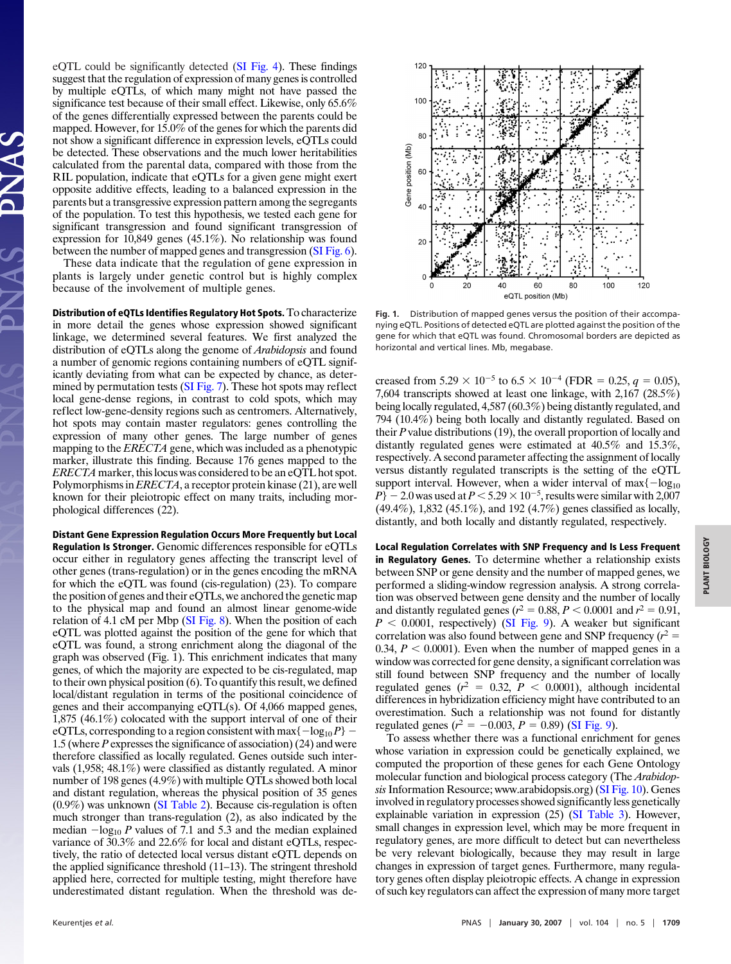eQTL could be significantly detected [\(SI Fig. 4\)](http://www.pnas.org/cgi/content/full/0610429104/DC1). These findings suggest that the regulation of expression of many genes is controlled by multiple eQTLs, of which many might not have passed the significance test because of their small effect. Likewise, only 65.6% of the genes differentially expressed between the parents could be mapped. However, for 15.0% of the genes for which the parents did not show a significant difference in expression levels, eQTLs could be detected. These observations and the much lower heritabilities calculated from the parental data, compared with those from the RIL population, indicate that eQTLs for a given gene might exert opposite additive effects, leading to a balanced expression in the parents but a transgressive expression pattern among the segregants of the population. To test this hypothesis, we tested each gene for significant transgression and found significant transgression of expression for 10,849 genes (45.1%). No relationship was found between the number of mapped genes and transgression [\(SI Fig. 6\)](http://www.pnas.org/cgi/content/full/0610429104/DC1).

These data indicate that the regulation of gene expression in plants is largely under genetic control but is highly complex because of the involvement of multiple genes.

**Distribution of eQTLs Identifies Regulatory Hot Spots.** To characterize in more detail the genes whose expression showed significant linkage, we determined several features. We first analyzed the distribution of eQTLs along the genome of *Arabidopsis* and found a number of genomic regions containing numbers of eQTL significantly deviating from what can be expected by chance, as deter-mined by permutation tests [\(SI Fig. 7\)](http://www.pnas.org/cgi/content/full/0610429104/DC1). These hot spots may reflect local gene-dense regions, in contrast to cold spots, which may reflect low-gene-density regions such as centromers. Alternatively, hot spots may contain master regulators: genes controlling the expression of many other genes. The large number of genes mapping to the *ERECTA* gene, which was included as a phenotypic marker, illustrate this finding. Because 176 genes mapped to the *ERECTA* marker, this locus was considered to be an eQTL hot spot. Polymorphisms in*ERECTA*, a receptor protein kinase (21), are well known for their pleiotropic effect on many traits, including morphological differences (22).

**Distant Gene Expression Regulation Occurs More Frequently but Local Regulation Is Stronger.** Genomic differences responsible for eQTLs occur either in regulatory genes affecting the transcript level of other genes (trans-regulation) or in the genes encoding the mRNA for which the eQTL was found (cis-regulation) (23). To compare the position of genes and their eQTLs, we anchored the genetic map to the physical map and found an almost linear genome-wide relation of 4.1 cM per Mbp [\(SI Fig. 8\)](http://www.pnas.org/cgi/content/full/0610429104/DC1). When the position of each eQTL was plotted against the position of the gene for which that eQTL was found, a strong enrichment along the diagonal of the graph was observed (Fig. 1). This enrichment indicates that many genes, of which the majority are expected to be cis-regulated, map to their own physical position (6). To quantify this result, we defined local/distant regulation in terms of the positional coincidence of genes and their accompanying eQTL(s). Of 4,066 mapped genes, 1,875 (46.1%) colocated with the support interval of one of their eQTLs, corresponding to a region consistent with max $\{-\log_{10} P\}$  – 1.5 (where *P* expresses the significance of association) (24) and were therefore classified as locally regulated. Genes outside such intervals (1,958; 48.1%) were classified as distantly regulated. A minor number of 198 genes (4.9%) with multiple QTLs showed both local and distant regulation, whereas the physical position of 35 genes (0.9%) was unknown [\(SI Table 2\)](http://www.pnas.org/cgi/content/full/0610429104/DC1). Because cis-regulation is often much stronger than trans-regulation (2), as also indicated by the median  $-\log_{10} P$  values of 7.1 and 5.3 and the median explained variance of 30.3% and 22.6% for local and distant eQTLs, respectively, the ratio of detected local versus distant eQTL depends on the applied significance threshold (11–13). The stringent threshold applied here, corrected for multiple testing, might therefore have underestimated distant regulation. When the threshold was de-



**Fig. 1.** Distribution of mapped genes versus the position of their accompanying eQTL. Positions of detected eQTL are plotted against the position of the gene for which that eQTL was found. Chromosomal borders are depicted as horizontal and vertical lines. Mb, megabase.

creased from  $5.29 \times 10^{-5}$  to  $6.5 \times 10^{-4}$  (FDR = 0.25,  $q = 0.05$ ), 7,604 transcripts showed at least one linkage, with 2,167 (28.5%) being locally regulated, 4,587 (60.3%) being distantly regulated, and 794 (10.4%) being both locally and distantly regulated. Based on their *P* value distributions (19), the overall proportion of locally and distantly regulated genes were estimated at 40.5% and 15.3%, respectively. A second parameter affecting the assignment of locally versus distantly regulated transcripts is the setting of the eQTL support interval. However, when a wider interval of  $\max\{-\log_{10}$  $P$ } – 2.0 was used at  $P < 5.29 \times 10^{-5}$ , results were similar with 2,007 (49.4%), 1,832 (45.1%), and 192 (4.7%) genes classified as locally, distantly, and both locally and distantly regulated, respectively.

**Local Regulation Correlates with SNP Frequency and Is Less Frequent in Regulatory Genes.** To determine whether a relationship exists between SNP or gene density and the number of mapped genes, we performed a sliding-window regression analysis. A strong correlation was observed between gene density and the number of locally and distantly regulated genes ( $r^2 = 0.88, P < 0.0001$  and  $r^2 = 0.91$ ,  $P < 0.0001$ , respectively) [\(SI Fig. 9\)](http://www.pnas.org/cgi/content/full/0610429104/DC1). A weaker but significant correlation was also found between gene and SNP frequency  $(r^2 =$ 0.34,  $P < 0.0001$ ). Even when the number of mapped genes in a window was corrected for gene density, a significant correlation was still found between SNP frequency and the number of locally regulated genes  $(r^2 = 0.32, P < 0.0001)$ , although incidental differences in hybridization efficiency might have contributed to an overestimation. Such a relationship was not found for distantly regulated genes  $(r^2 = -0.003, P = 0.89)$  [\(SI Fig. 9\)](http://www.pnas.org/cgi/content/full/0610429104/DC1).

To assess whether there was a functional enrichment for genes whose variation in expression could be genetically explained, we computed the proportion of these genes for each Gene Ontology molecular function and biological process category (The *Arabidopsis*Information Resource; www.arabidopsis.org) [\(SI Fig. 10\)](http://www.pnas.org/cgi/content/full/0610429104/DC1). Genes involved in regulatory processes showed significantly less genetically explainable variation in expression (25) [\(SI Table 3\)](http://www.pnas.org/cgi/content/full/0610429104/DC1). However, small changes in expression level, which may be more frequent in regulatory genes, are more difficult to detect but can nevertheless be very relevant biologically, because they may result in large changes in expression of target genes. Furthermore, many regulatory genes often display pleiotropic effects. A change in expression of such key regulators can affect the expression of many more target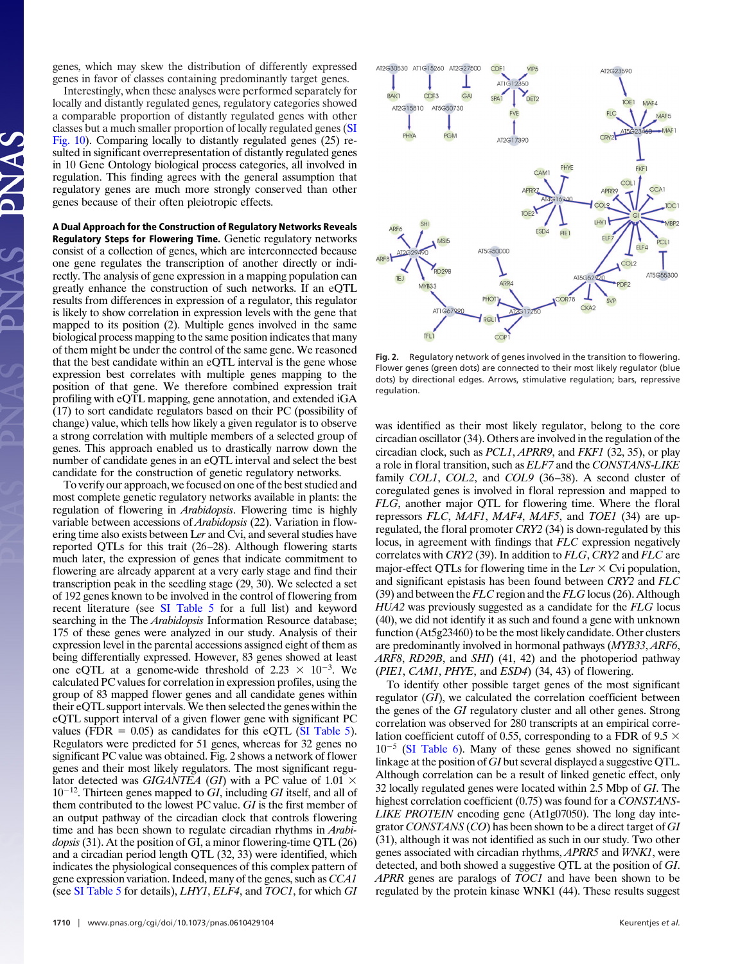genes, which may skew the distribution of differently expressed genes in favor of classes containing predominantly target genes.

Interestingly, when these analyses were performed separately for locally and distantly regulated genes, regulatory categories showed a comparable proportion of distantly regulated genes with other classes but a much smaller proportion of locally regulated genes [\(SI](http://www.pnas.org/cgi/content/full/0610429104/DC1) [Fig. 10\)](http://www.pnas.org/cgi/content/full/0610429104/DC1). Comparing locally to distantly regulated genes (25) resulted in significant overrepresentation of distantly regulated genes in 10 Gene Ontology biological process categories, all involved in regulation. This finding agrees with the general assumption that regulatory genes are much more strongly conserved than other genes because of their often pleiotropic effects.

**A Dual Approach for the Construction of Regulatory Networks Reveals Regulatory Steps for Flowering Time.** Genetic regulatory networks consist of a collection of genes, which are interconnected because one gene regulates the transcription of another directly or indirectly. The analysis of gene expression in a mapping population can greatly enhance the construction of such networks. If an eQTL results from differences in expression of a regulator, this regulator is likely to show correlation in expression levels with the gene that mapped to its position (2). Multiple genes involved in the same biological process mapping to the same position indicates that many of them might be under the control of the same gene. We reasoned that the best candidate within an eQTL interval is the gene whose expression best correlates with multiple genes mapping to the position of that gene. We therefore combined expression trait profiling with eQTL mapping, gene annotation, and extended iGA (17) to sort candidate regulators based on their PC (possibility of change) value, which tells how likely a given regulator is to observe a strong correlation with multiple members of a selected group of genes. This approach enabled us to drastically narrow down the number of candidate genes in an eQTL interval and select the best candidate for the construction of genetic regulatory networks.

To verify our approach, we focused on one of the best studied and most complete genetic regulatory networks available in plants: the regulation of flowering in *Arabidopsis*. Flowering time is highly variable between accessions of *Arabidopsis* (22). Variation in flowering time also exists between L*er* and Cvi, and several studies have reported QTLs for this trait (26–28). Although flowering starts much later, the expression of genes that indicate commitment to flowering are already apparent at a very early stage and find their transcription peak in the seedling stage (29, 30). We selected a set of 192 genes known to be involved in the control of flowering from recent literature (see [SI Table 5](http://www.pnas.org/cgi/content/full/0610429104/DC1) for a full list) and keyword searching in the The *Arabidopsis* Information Resource database; 175 of these genes were analyzed in our study. Analysis of their expression level in the parental accessions assigned eight of them as being differentially expressed. However, 83 genes showed at least one eQTL at a genome-wide threshold of 2.23  $\times$  10<sup>-3</sup>. We calculated PC values for correlation in expression profiles, using the group of 83 mapped flower genes and all candidate genes within their eQTL support intervals. We then selected the genes within the eQTL support interval of a given flower gene with significant PC values (FDR  $= 0.05$ ) as candidates for this eQTL [\(SI Table 5\)](http://www.pnas.org/cgi/content/full/0610429104/DC1). Regulators were predicted for 51 genes, whereas for 32 genes no significant PC value was obtained. Fig. 2 shows a network of flower genes and their most likely regulators. The most significant regulator detected was *GIGANTEA* (*GI*) with a PC value of 1.01  $\times$  $10^{-12}$ . Thirteen genes mapped to *GI*, including *GI* itself, and all of them contributed to the lowest PC value. *GI* is the first member of an output pathway of the circadian clock that controls flowering time and has been shown to regulate circadian rhythms in *Arabidopsis*(31). At the position of GI, a minor flowering-time QTL (26) and a circadian period length QTL (32, 33) were identified, which indicates the physiological consequences of this complex pattern of gene expression variation. Indeed, many of the genes, such as *CCA1* (see [SI Table 5](http://www.pnas.org/cgi/content/full/0610429104/DC1) for details), *LHY1*, *ELF4*, and *TOC1*, for which *GI*



**Fig. 2.** Regulatory network of genes involved in the transition to flowering. Flower genes (green dots) are connected to their most likely regulator (blue dots) by directional edges. Arrows, stimulative regulation; bars, repressive regulation.

was identified as their most likely regulator, belong to the core circadian oscillator (34). Others are involved in the regulation of the circadian clock, such as *PCL1*, *APRR9*, and *FKF1* (32, 35), or play a role in floral transition, such as *ELF7* and the *CONSTANS*-*LIKE* family *COL1*, *COL2*, and *COL9* (36–38). A second cluster of coregulated genes is involved in floral repression and mapped to *FLG*, another major QTL for flowering time. Where the floral repressors *FLC*, *MAF1*, *MAF4*, *MAF5*, and *TOE1* (34) are upregulated, the floral promoter *CRY2* (34) is down-regulated by this locus, in agreement with findings that *FLC* expression negatively correlates with *CRY2* (39). In addition to *FLG*, *CRY2* and *FLC* are major-effect QTLs for flowering time in the  $Ler \times$  Cvi population, and significant epistasis has been found between *CRY2* and *FLC* (39) and between the *FLC* region and the *FLG* locus (26). Although *HUA2* was previously suggested as a candidate for the *FLG* locus (40), we did not identify it as such and found a gene with unknown function (At5g23460) to be the most likely candidate. Other clusters are predominantly involved in hormonal pathways (*MYB33*, *ARF6*, *ARF8*, *RD29B*, and *SHI*) (41, 42) and the photoperiod pathway (*PIE1*, *CAM1*, *PHYE*, and *ESD4*) (34, 43) of flowering.

To identify other possible target genes of the most significant regulator (*GI*), we calculated the correlation coefficient between the genes of the *GI* regulatory cluster and all other genes. Strong correlation was observed for 280 transcripts at an empirical correlation coefficient cutoff of 0.55, corresponding to a FDR of 9.5  $\times$  $10^{-5}$  [\(SI Table 6\)](http://www.pnas.org/cgi/content/full/0610429104/DC1). Many of these genes showed no significant linkage at the position of *GI* but several displayed a suggestive QTL. Although correlation can be a result of linked genetic effect, only 32 locally regulated genes were located within 2.5 Mbp of *GI*. The highest correlation coefficient (0.75) was found for a *CONSTANS*-*LIKE PROTEIN* encoding gene (At1g07050). The long day integrator *CONSTANS* (*CO*) has been shown to be a direct target of *GI* (31), although it was not identified as such in our study. Two other genes associated with circadian rhythms, *APRR5* and *WNK1*, were detected, and both showed a suggestive QTL at the position of *GI*. *APRR* genes are paralogs of *TOC1* and have been shown to be regulated by the protein kinase WNK1 (44). These results suggest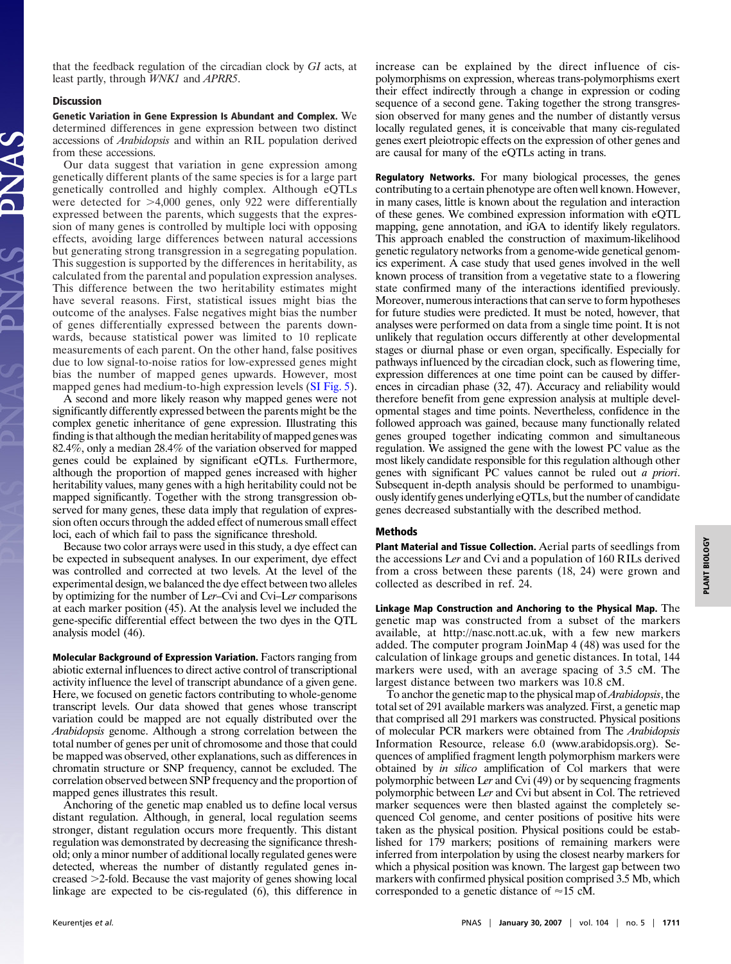that the feedback regulation of the circadian clock by *GI* acts, at least partly, through *WNK1* and *APRR5*.

## **Discussion**

**Genetic Variation in Gene Expression Is Abundant and Complex.** We determined differences in gene expression between two distinct accessions of *Arabidopsis* and within an RIL population derived from these accessions.

Our data suggest that variation in gene expression among genetically different plants of the same species is for a large part genetically controlled and highly complex. Although eQTLs were detected for  $>4,000$  genes, only 922 were differentially expressed between the parents, which suggests that the expression of many genes is controlled by multiple loci with opposing effects, avoiding large differences between natural accessions but generating strong transgression in a segregating population. This suggestion is supported by the differences in heritability, as calculated from the parental and population expression analyses. This difference between the two heritability estimates might have several reasons. First, statistical issues might bias the outcome of the analyses. False negatives might bias the number of genes differentially expressed between the parents downwards, because statistical power was limited to 10 replicate measurements of each parent. On the other hand, false positives due to low signal-to-noise ratios for low-expressed genes might bias the number of mapped genes upwards. However, most mapped genes had medium-to-high expression levels [\(SI Fig. 5\)](http://www.pnas.org/cgi/content/full/0610429104/DC1).

A second and more likely reason why mapped genes were not significantly differently expressed between the parents might be the complex genetic inheritance of gene expression. Illustrating this finding is that although the median heritability of mapped genes was 82.4%, only a median 28.4% of the variation observed for mapped genes could be explained by significant eQTLs. Furthermore, although the proportion of mapped genes increased with higher heritability values, many genes with a high heritability could not be mapped significantly. Together with the strong transgression observed for many genes, these data imply that regulation of expression often occurs through the added effect of numerous small effect loci, each of which fail to pass the significance threshold.

Because two color arrays were used in this study, a dye effect can be expected in subsequent analyses. In our experiment, dye effect was controlled and corrected at two levels. At the level of the experimental design, we balanced the dye effect between two alleles by optimizing for the number of L*er*–Cvi and Cvi–L*er* comparisons at each marker position (45). At the analysis level we included the gene-specific differential effect between the two dyes in the QTL analysis model (46).

**Molecular Background of Expression Variation.** Factors ranging from abiotic external influences to direct active control of transcriptional activity influence the level of transcript abundance of a given gene. Here, we focused on genetic factors contributing to whole-genome transcript levels. Our data showed that genes whose transcript variation could be mapped are not equally distributed over the *Arabidopsis* genome. Although a strong correlation between the total number of genes per unit of chromosome and those that could be mapped was observed, other explanations, such as differences in chromatin structure or SNP frequency, cannot be excluded. The correlation observed between SNP frequency and the proportion of mapped genes illustrates this result.

Anchoring of the genetic map enabled us to define local versus distant regulation. Although, in general, local regulation seems stronger, distant regulation occurs more frequently. This distant regulation was demonstrated by decreasing the significance threshold; only a minor number of additional locally regulated genes were detected, whereas the number of distantly regulated genes increased 2-fold. Because the vast majority of genes showing local linkage are expected to be cis-regulated (6), this difference in increase can be explained by the direct influence of cispolymorphisms on expression, whereas trans-polymorphisms exert their effect indirectly through a change in expression or coding sequence of a second gene. Taking together the strong transgression observed for many genes and the number of distantly versus locally regulated genes, it is conceivable that many cis-regulated genes exert pleiotropic effects on the expression of other genes and are causal for many of the eQTLs acting in trans.

**Regulatory Networks.** For many biological processes, the genes contributing to a certain phenotype are often well known. However, in many cases, little is known about the regulation and interaction of these genes. We combined expression information with eQTL mapping, gene annotation, and iGA to identify likely regulators. This approach enabled the construction of maximum-likelihood genetic regulatory networks from a genome-wide genetical genomics experiment. A case study that used genes involved in the well known process of transition from a vegetative state to a flowering state confirmed many of the interactions identified previously. Moreover, numerous interactions that can serve to form hypotheses for future studies were predicted. It must be noted, however, that analyses were performed on data from a single time point. It is not unlikely that regulation occurs differently at other developmental stages or diurnal phase or even organ, specifically. Especially for pathways influenced by the circadian clock, such as flowering time, expression differences at one time point can be caused by differences in circadian phase (32, 47). Accuracy and reliability would therefore benefit from gene expression analysis at multiple developmental stages and time points. Nevertheless, confidence in the followed approach was gained, because many functionally related genes grouped together indicating common and simultaneous regulation. We assigned the gene with the lowest PC value as the most likely candidate responsible for this regulation although other genes with significant PC values cannot be ruled out *a priori*. Subsequent in-depth analysis should be performed to unambiguously identify genes underlying eQTLs, but the number of candidate genes decreased substantially with the described method.

## **Methods**

**Plant Material and Tissue Collection.** Aerial parts of seedlings from the accessions L*er* and Cvi and a population of 160 RILs derived from a cross between these parents (18, 24) were grown and collected as described in ref. 24.

**Linkage Map Construction and Anchoring to the Physical Map.** The genetic map was constructed from a subset of the markers available, at http://nasc.nott.ac.uk, with a few new markers added. The computer program JoinMap 4 (48) was used for the calculation of linkage groups and genetic distances. In total, 144 markers were used, with an average spacing of 3.5 cM. The largest distance between two markers was 10.8 cM.

To anchor the genetic map to the physical map of*Arabidopsis*, the total set of 291 available markers was analyzed. First, a genetic map that comprised all 291 markers was constructed. Physical positions of molecular PCR markers were obtained from The *Arabidopsis* Information Resource, release 6.0 (www.arabidopsis.org). Sequences of amplified fragment length polymorphism markers were obtained by *in silico* amplification of Col markers that were polymorphic between L*er* and Cvi (49) or by sequencing fragments polymorphic between L*er* and Cvi but absent in Col. The retrieved marker sequences were then blasted against the completely sequenced Col genome, and center positions of positive hits were taken as the physical position. Physical positions could be established for 179 markers; positions of remaining markers were inferred from interpolation by using the closest nearby markers for which a physical position was known. The largest gap between two markers with confirmed physical position comprised 3.5 Mb, which corresponded to a genetic distance of  $\approx$  15 cM.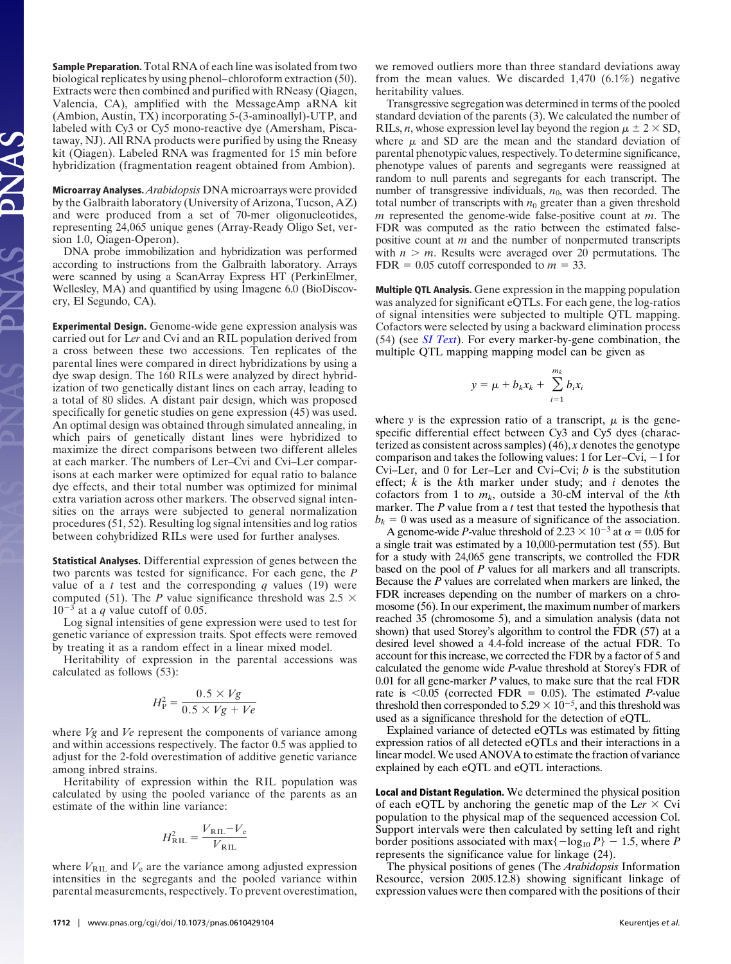**Sample Preparation.** Total RNA of each line was isolated from two biological replicates by using phenol–chloroform extraction (50). Extracts were then combined and purified with RNeasy (Qiagen, Valencia, CA), amplified with the MessageAmp aRNA kit (Ambion, Austin, TX) incorporating 5-(3-aminoallyl)-UTP, and labeled with Cy3 or Cy5 mono-reactive dye (Amersham, Piscataway, NJ). All RNA products were purified by using the Rneasy kit (Qiagen). Labeled RNA was fragmented for 15 min before hybridization (fragmentation reagent obtained from Ambion).

**Microarray Analyses.** *Arabidopsis* DNA microarrays were provided by the Galbraith laboratory (University of Arizona, Tucson, AZ) and were produced from a set of 70-mer oligonucleotides, representing 24,065 unique genes (Array-Ready Oligo Set, version 1.0, Qiagen-Operon).

DNA probe immobilization and hybridization was performed according to instructions from the Galbraith laboratory. Arrays were scanned by using a ScanArray Express HT (PerkinElmer, Wellesley, MA) and quantified by using Imagene 6.0 (BioDiscovery, El Segundo, CA).

**Experimental Design.** Genome-wide gene expression analysis was carried out for L*er* and Cvi and an RIL population derived from a cross between these two accessions. Ten replicates of the parental lines were compared in direct hybridizations by using a dye swap design. The 160 RILs were analyzed by direct hybridization of two genetically distant lines on each array, leading to a total of 80 slides. A distant pair design, which was proposed specifically for genetic studies on gene expression (45) was used. An optimal design was obtained through simulated annealing, in which pairs of genetically distant lines were hybridized to maximize the direct comparisons between two different alleles at each marker. The numbers of Ler–Cvi and Cvi–Ler comparisons at each marker were optimized for equal ratio to balance dye effects, and their total number was optimized for minimal extra variation across other markers. The observed signal intensities on the arrays were subjected to general normalization procedures (51, 52). Resulting log signal intensities and log ratios between cohybridized RILs were used for further analyses.

**Statistical Analyses.** Differential expression of genes between the two parents was tested for significance. For each gene, the *P* value of a  $t$  test and the corresponding  $q$  values (19) were computed (51). The *P* value significance threshold was 2.5  $\times$  $10^{-3}$  at a *q* value cutoff of 0.05.

Log signal intensities of gene expression were used to test for genetic variance of expression traits. Spot effects were removed by treating it as a random effect in a linear mixed model.

Heritability of expression in the parental accessions was calculated as follows (53):

$$
H_{\rm P}^2 = \frac{0.5 \times Vg}{0.5 \times Vg + Ve}
$$

where *Vg* and *Ve* represent the components of variance among and within accessions respectively. The factor 0.5 was applied to adjust for the 2-fold overestimation of additive genetic variance among inbred strains.

Heritability of expression within the RIL population was calculated by using the pooled variance of the parents as an estimate of the within line variance:

$$
H_{\rm RIL}^2 = \frac{V_{\rm RIL} - V_{\rm e}}{V_{\rm RIL}}
$$

where  $V_{\text{RII}}$  and  $V_e$  are the variance among adjusted expression intensities in the segregants and the pooled variance within parental measurements, respectively. To prevent overestimation,

**1712** | www.pnas.org/cgi/doi/10.1073/pnas.0610429104 Keurentjes *et al.* 

we removed outliers more than three standard deviations away from the mean values. We discarded  $1,470$   $(6.1\%)$  negative heritability values.

Transgressive segregation was determined in terms of the pooled standard deviation of the parents (3). We calculated the number of RILs, *n*, whose expression level lay beyond the region  $\mu \pm 2 \times SD$ , where  $\mu$  and SD are the mean and the standard deviation of parental phenotypic values, respectively. To determine significance, phenotype values of parents and segregants were reassigned at random to null parents and segregants for each transcript. The number of transgressive individuals,  $n_0$ , was then recorded. The total number of transcripts with  $n_0$  greater than a given threshold *m* represented the genome-wide false-positive count at *m*. The FDR was computed as the ratio between the estimated falsepositive count at *m* and the number of nonpermuted transcripts with  $n > m$ . Results were averaged over 20 permutations. The FDR =  $0.05$  cutoff corresponded to  $m = 33$ .

**Multiple QTL Analysis.** Gene expression in the mapping population was analyzed for significant eQTLs. For each gene, the log-ratios of signal intensities were subjected to multiple QTL mapping. Cofactors were selected by using a backward elimination process (54) (see *[SI Text](http://www.pnas.org/cgi/content/full/0610429104/DC1)*). For every marker-by-gene combination, the multiple QTL mapping mapping model can be given as

$$
y = \mu + b_k x_k + \sum_{i=1}^{m_k} b_i x_i
$$

where *y* is the expression ratio of a transcript,  $\mu$  is the genespecific differential effect between Cy3 and Cy5 dyes (characterized as consistent across samples) (46), *x* denotes the genotype comparison and takes the following values: 1 for Ler–Cvi,  $-1$  for Cvi–Ler, and 0 for Ler–Ler and Cvi–Cvi; *b* is the substitution effect; *k* is the *k*th marker under study; and *i* denotes the cofactors from 1 to *mk*, outside a 30-cM interval of the *k*th marker. The *P* value from a *t* test that tested the hypothesis that  $b_k = 0$  was used as a measure of significance of the association.

A genome-wide *P*-value threshold of  $2.23 \times 10^{-3}$  at  $\alpha = 0.05$  for a single trait was estimated by a 10,000-permutation test (55). But for a study with 24,065 gene transcripts, we controlled the FDR based on the pool of *P* values for all markers and all transcripts. Because the *P* values are correlated when markers are linked, the FDR increases depending on the number of markers on a chromosome (56). In our experiment, the maximum number of markers reached 35 (chromosome 5), and a simulation analysis (data not shown) that used Storey's algorithm to control the FDR (57) at a desired level showed a 4.4-fold increase of the actual FDR. To account for this increase, we corrected the FDR by a factor of 5 and calculated the genome wide *P*-value threshold at Storey's FDR of 0.01 for all gene-marker *P* values, to make sure that the real FDR rate is  $\leq 0.05$  (corrected FDR  $= 0.05$ ). The estimated *P*-value threshold then corresponded to  $5.29 \times 10^{-5}$ , and this threshold was used as a significance threshold for the detection of eQTL.

Explained variance of detected eQTLs was estimated by fitting expression ratios of all detected eQTLs and their interactions in a linear model. We used ANOVA to estimate the fraction of variance explained by each eQTL and eQTL interactions.

**Local and Distant Regulation.** We determined the physical position of each eQTL by anchoring the genetic map of the  $Ler \times Cvi$ population to the physical map of the sequenced accession Col. Support intervals were then calculated by setting left and right border positions associated with max $\{-\log_{10} P\}$  – 1.5, where *P* represents the significance value for linkage (24).

The physical positions of genes (The *Arabidopsis* Information Resource, version 2005.12.8) showing significant linkage of expression values were then compared with the positions of their